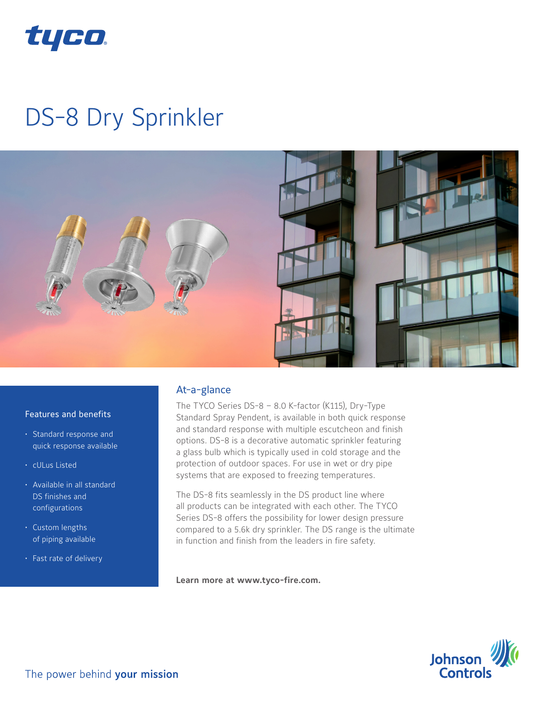

# DS-8 Dry Sprinkler



### Features and benefits

- Standard response and quick response available
- cULus Listed
- Available in all standard DS finishes and configurations
- Custom lengths of piping available
- Fast rate of delivery

## At-a-glance

The TYCO Series DS-8 – 8.0 K-factor (K115), Dry-Type Standard Spray Pendent, is available in both quick response and standard response with multiple escutcheon and finish options. DS-8 is a decorative automatic sprinkler featuring a glass bulb which is typically used in cold storage and the protection of outdoor spaces. For use in wet or dry pipe systems that are exposed to freezing temperatures.

The DS-8 fits seamlessly in the DS product line where all products can be integrated with each other. The TYCO Series DS-8 offers the possibility for lower design pressure compared to a 5.6k dry sprinkler. The DS range is the ultimate in function and finish from the leaders in fire safety.

**Learn more at www.tyco-fire.com.**